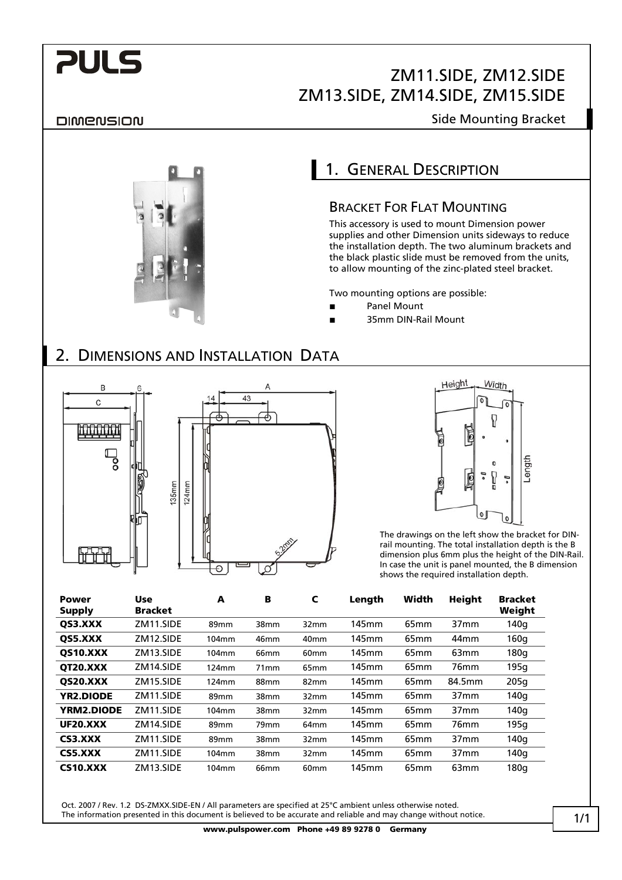# **PULS**

# ZM11.SIDE, ZM12.SIDE ZM13.SIDE, ZM14.SIDE, ZM15.SIDE

### DIMENSION

### Side Mounting Bracket

# 1. GENERAL DESCRIPTION

### BRACKET FOR FLAT MOUNTING

This accessory is used to mount Dimension power supplies and other Dimension units sideways to reduce the installation depth. The two aluminum brackets and the black plastic slide must be removed from the units, to allow mounting of the zinc-plated steel bracket.

Two mounting options are possible:

- **■** Panel Mount
- **■** 35mm DIN-Rail Mount

### 2. DIMENSIONS AND INSTALLATION DATA





The drawings on the left show the bracket for DINrail mounting. The total installation depth is the B dimension plus 6mm plus the height of the DIN-Rail. In case the unit is panel mounted, the B dimension shows the required installation depth.

| Power<br><b>Supply</b> | <b>Use</b><br><b>Bracket</b> | A     | в                | C                | Length | Width            | <b>Height</b>    | <b>Bracket</b><br>Weight |
|------------------------|------------------------------|-------|------------------|------------------|--------|------------------|------------------|--------------------------|
| OS3.XXX                | ZM11.SIDE                    | 89mm  | 38mm             | 32mm             | 145mm  | 65 <sub>mm</sub> | 37 <sub>mm</sub> | 140g                     |
| OS5.XXX                | ZM12.SIDE                    | 104mm | 46 <sub>mm</sub> | 40 <sub>mm</sub> | 145mm  | 65 <sub>mm</sub> | 44 <sub>mm</sub> | 160 <sub>g</sub>         |
| <b>QS10.XXX</b>        | ZM13.SIDE                    | 104mm | 66 <sub>mm</sub> | 60 <sub>mm</sub> | 145mm  | 65 <sub>mm</sub> | 63 <sub>mm</sub> | 180 <sub>g</sub>         |
| OT20.XXX               | ZM14.SIDE                    | 124mm | 71 <sub>mm</sub> | 65 <sub>mm</sub> | 145mm  | 65 <sub>mm</sub> | 76 <sub>mm</sub> | 195g                     |
| QS20.XXX               | ZM15.SIDE                    | 124mm | 88 <sub>mm</sub> | 82 <sub>mm</sub> | 145mm  | 65 <sub>mm</sub> | 84.5mm           | 205g                     |
| <b>YR2.DIODE</b>       | ZM11.SIDE                    | 89mm  | 38mm             | 32mm             | 145mm  | 65 <sub>mm</sub> | 37 <sub>mm</sub> | 140q                     |
| YRM2.DIODE             | ZM11.SIDE                    | 104mm | 38mm             | 32mm             | 145mm  | 65 <sub>mm</sub> | 37 <sub>mm</sub> | 140q                     |
| <b>UF20.XXX</b>        | ZM14.SIDE                    | 89mm  | 79mm             | 64 <sub>mm</sub> | 145mm  | 65 <sub>mm</sub> | 76 <sub>mm</sub> | 195g                     |
| CS3.XXX                | ZM11.SIDE                    | 89mm  | 38mm             | 32mm             | 145mm  | 65 <sub>mm</sub> | 37 <sub>mm</sub> | 140q                     |
| CS5.XXX                | ZM11.SIDE                    | 104mm | 38mm             | 32mm             | 145mm  | 65 <sub>mm</sub> | 37 <sub>mm</sub> | 140g                     |
| <b>CS10.XXX</b>        | ZM13.SIDE                    | 104mm | 66 <sub>mm</sub> | 60 <sub>mm</sub> | 145mm  | 65 <sub>mm</sub> | 63 <sub>mm</sub> | 180q                     |

Oct. 2007 / Rev. 1.2 DS-ZMXX.SIDE-EN / All parameters are specified at 25°C ambient unless otherwise noted. The information presented in this document is believed to be accurate and reliable and may change without notice.